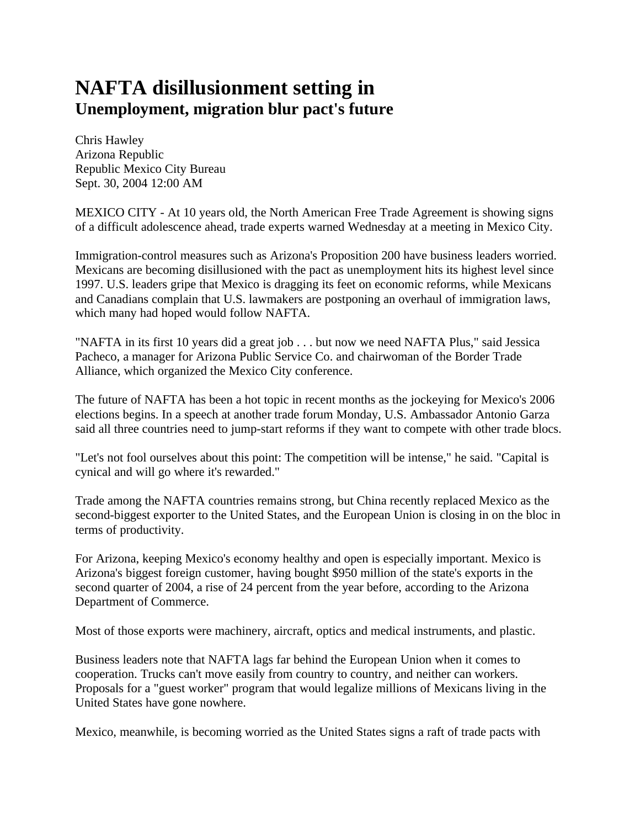## **NAFTA disillusionment setting in Unemployment, migration blur pact's future**

Chris Hawley Arizona Republic Republic Mexico City Bureau Sept. 30, 2004 12:00 AM

MEXICO CITY - At 10 years old, the North American Free Trade Agreement is showing signs of a difficult adolescence ahead, trade experts warned Wednesday at a meeting in Mexico City.

Immigration-control measures such as Arizona's Proposition 200 have business leaders worried. Mexicans are becoming disillusioned with the pact as unemployment hits its highest level since 1997. U.S. leaders gripe that Mexico is dragging its feet on economic reforms, while Mexicans and Canadians complain that U.S. lawmakers are postponing an overhaul of immigration laws, which many had hoped would follow NAFTA.

"NAFTA in its first 10 years did a great job . . . but now we need NAFTA Plus," said Jessica Pacheco, a manager for Arizona Public Service Co. and chairwoman of the Border Trade Alliance, which organized the Mexico City conference.

The future of NAFTA has been a hot topic in recent months as the jockeying for Mexico's 2006 elections begins. In a speech at another trade forum Monday, U.S. Ambassador Antonio Garza said all three countries need to jump-start reforms if they want to compete with other trade blocs.

"Let's not fool ourselves about this point: The competition will be intense," he said. "Capital is cynical and will go where it's rewarded."

Trade among the NAFTA countries remains strong, but China recently replaced Mexico as the second-biggest exporter to the United States, and the European Union is closing in on the bloc in terms of productivity.

For Arizona, keeping Mexico's economy healthy and open is especially important. Mexico is Arizona's biggest foreign customer, having bought \$950 million of the state's exports in the second quarter of 2004, a rise of 24 percent from the year before, according to the Arizona Department of Commerce.

Most of those exports were machinery, aircraft, optics and medical instruments, and plastic.

Business leaders note that NAFTA lags far behind the European Union when it comes to cooperation. Trucks can't move easily from country to country, and neither can workers. Proposals for a "guest worker" program that would legalize millions of Mexicans living in the United States have gone nowhere.

Mexico, meanwhile, is becoming worried as the United States signs a raft of trade pacts with